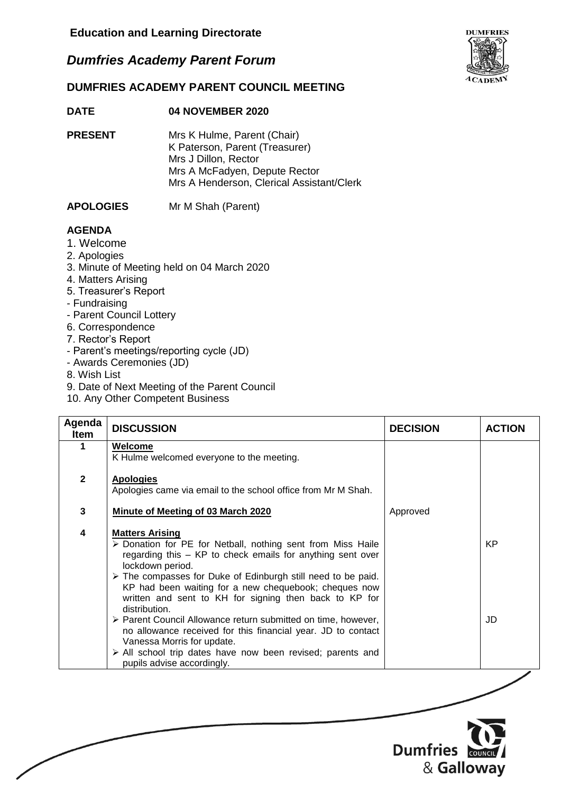# *Dumfries Academy Parent Forum*



### **DATE 04 NOVEMBER 2020**

**PRESENT** Mrs K Hulme, Parent (Chair) K Paterson, Parent (Treasurer) Mrs J Dillon, Rector Mrs A McFadyen, Depute Rector Mrs A Henderson, Clerical Assistant/Clerk

#### **APOLOGIES** Mr M Shah (Parent)

### **AGENDA**

- 1. Welcome
- 2. Apologies
- 3. Minute of Meeting held on 04 March 2020
- 4. Matters Arising
- 5. Treasurer's Report
- Fundraising
- Parent Council Lottery
- 6. Correspondence
- 7. Rector's Report
- Parent's meetings/reporting cycle (JD)
- Awards Ceremonies (JD)
- 8. Wish List
- 9. Date of Next Meeting of the Parent Council
- 10. Any Other Competent Business

| Agenda<br><b>Item</b> | <b>DISCUSSION</b>                                                                                                                                                                                                                                                                                                                                                           | <b>DECISION</b> | <b>ACTION</b> |
|-----------------------|-----------------------------------------------------------------------------------------------------------------------------------------------------------------------------------------------------------------------------------------------------------------------------------------------------------------------------------------------------------------------------|-----------------|---------------|
|                       | Welcome<br>K Hulme welcomed everyone to the meeting.                                                                                                                                                                                                                                                                                                                        |                 |               |
| $\mathbf{2}$          | <b>Apologies</b><br>Apologies came via email to the school office from Mr M Shah.                                                                                                                                                                                                                                                                                           |                 |               |
| 3                     | Minute of Meeting of 03 March 2020                                                                                                                                                                                                                                                                                                                                          | Approved        |               |
| 4                     | <b>Matters Arising</b><br>> Donation for PE for Netball, nothing sent from Miss Haile<br>regarding this – KP to check emails for anything sent over<br>lockdown period.<br>> The compasses for Duke of Edinburgh still need to be paid.<br>KP had been waiting for a new chequebook; cheques now<br>written and sent to KH for signing then back to KP for<br>distribution. |                 | <b>KP</b>     |
|                       | > Parent Council Allowance return submitted on time, however,<br>no allowance received for this financial year. JD to contact<br>Vanessa Morris for update.<br>> All school trip dates have now been revised; parents and<br>pupils advise accordingly.                                                                                                                     |                 | JD            |



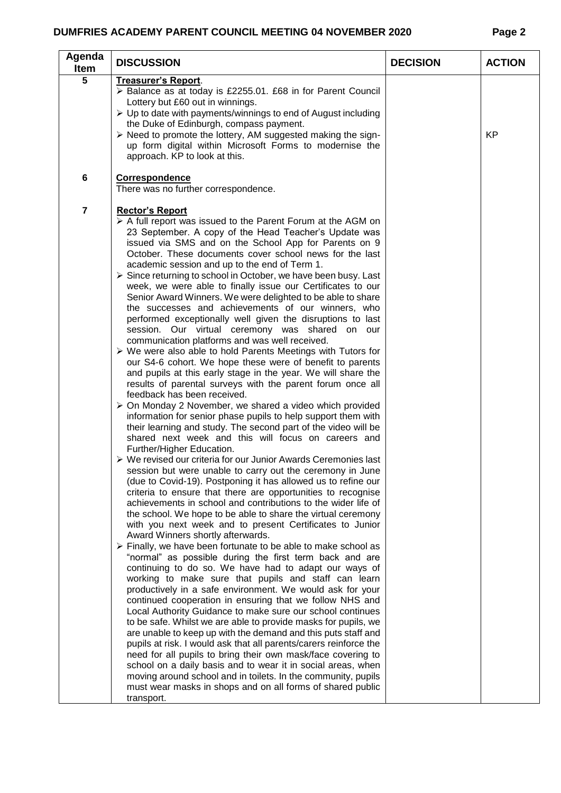## **DUMFRIES ACADEMY PARENT COUNCIL MEETING 04 NOVEMBER 2020 Page 2**

| Agenda<br><b>DISCUSSION</b><br>Item                                                                                                                                                                                                                                                                                                                                                                                                                                                                                                                                                                                                                                                                                                                                                                                                                                                                                                                                                                                                                                                                                                                                                                                                                                                                                                                                                                                                                                                                                                                                                                                                                                                                                                                                                                                                                                                                                                                                                                                                                                                                                                                                                                                                                                                                                                                                                                                                                                                                                                                                                                                                                                                                                                                                                                                                     | <b>DECISION</b> | <b>ACTION</b> |
|-----------------------------------------------------------------------------------------------------------------------------------------------------------------------------------------------------------------------------------------------------------------------------------------------------------------------------------------------------------------------------------------------------------------------------------------------------------------------------------------------------------------------------------------------------------------------------------------------------------------------------------------------------------------------------------------------------------------------------------------------------------------------------------------------------------------------------------------------------------------------------------------------------------------------------------------------------------------------------------------------------------------------------------------------------------------------------------------------------------------------------------------------------------------------------------------------------------------------------------------------------------------------------------------------------------------------------------------------------------------------------------------------------------------------------------------------------------------------------------------------------------------------------------------------------------------------------------------------------------------------------------------------------------------------------------------------------------------------------------------------------------------------------------------------------------------------------------------------------------------------------------------------------------------------------------------------------------------------------------------------------------------------------------------------------------------------------------------------------------------------------------------------------------------------------------------------------------------------------------------------------------------------------------------------------------------------------------------------------------------------------------------------------------------------------------------------------------------------------------------------------------------------------------------------------------------------------------------------------------------------------------------------------------------------------------------------------------------------------------------------------------------------------------------------------------------------------------------|-----------------|---------------|
| 5<br>Treasurer's Report.<br>> Balance as at today is £2255.01. £68 in for Parent Council<br>Lottery but £60 out in winnings.<br>$\triangleright$ Up to date with payments/winnings to end of August including<br>the Duke of Edinburgh, compass payment.<br>> Need to promote the lottery, AM suggested making the sign-<br>up form digital within Microsoft Forms to modernise the<br>approach. KP to look at this.                                                                                                                                                                                                                                                                                                                                                                                                                                                                                                                                                                                                                                                                                                                                                                                                                                                                                                                                                                                                                                                                                                                                                                                                                                                                                                                                                                                                                                                                                                                                                                                                                                                                                                                                                                                                                                                                                                                                                                                                                                                                                                                                                                                                                                                                                                                                                                                                                    |                 | <b>KP</b>     |
| 6<br><b>Correspondence</b><br>There was no further correspondence.                                                                                                                                                                                                                                                                                                                                                                                                                                                                                                                                                                                                                                                                                                                                                                                                                                                                                                                                                                                                                                                                                                                                                                                                                                                                                                                                                                                                                                                                                                                                                                                                                                                                                                                                                                                                                                                                                                                                                                                                                                                                                                                                                                                                                                                                                                                                                                                                                                                                                                                                                                                                                                                                                                                                                                      |                 |               |
| $\overline{7}$<br><b>Rector's Report</b><br>$\triangleright$ A full report was issued to the Parent Forum at the AGM on<br>23 September. A copy of the Head Teacher's Update was<br>issued via SMS and on the School App for Parents on 9<br>October. These documents cover school news for the last<br>academic session and up to the end of Term 1.<br>$\triangleright$ Since returning to school in October, we have been busy. Last<br>week, we were able to finally issue our Certificates to our<br>Senior Award Winners. We were delighted to be able to share<br>the successes and achievements of our winners, who<br>performed exceptionally well given the disruptions to last<br>session. Our virtual ceremony was shared on our<br>communication platforms and was well received.<br>$\triangleright$ We were also able to hold Parents Meetings with Tutors for<br>our S4-6 cohort. We hope these were of benefit to parents<br>and pupils at this early stage in the year. We will share the<br>results of parental surveys with the parent forum once all<br>feedback has been received.<br>> On Monday 2 November, we shared a video which provided<br>information for senior phase pupils to help support them with<br>their learning and study. The second part of the video will be<br>shared next week and this will focus on careers and<br>Further/Higher Education.<br>▶ We revised our criteria for our Junior Awards Ceremonies last<br>session but were unable to carry out the ceremony in June<br>(due to Covid-19). Postponing it has allowed us to refine our<br>criteria to ensure that there are opportunities to recognise<br>achievements in school and contributions to the wider life of<br>the school. We hope to be able to share the virtual ceremony<br>with you next week and to present Certificates to Junior<br>Award Winners shortly afterwards.<br>$\triangleright$ Finally, we have been fortunate to be able to make school as<br>"normal" as possible during the first term back and are<br>continuing to do so. We have had to adapt our ways of<br>working to make sure that pupils and staff can learn<br>productively in a safe environment. We would ask for your<br>continued cooperation in ensuring that we follow NHS and<br>Local Authority Guidance to make sure our school continues<br>to be safe. Whilst we are able to provide masks for pupils, we<br>are unable to keep up with the demand and this puts staff and<br>pupils at risk. I would ask that all parents/carers reinforce the<br>need for all pupils to bring their own mask/face covering to<br>school on a daily basis and to wear it in social areas, when<br>moving around school and in toilets. In the community, pupils<br>must wear masks in shops and on all forms of shared public<br>transport. |                 |               |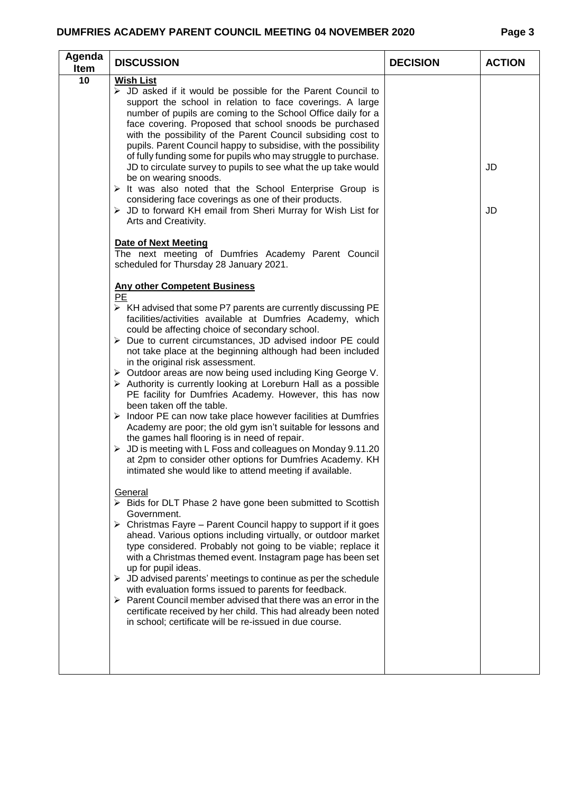### **DUMFRIES ACADEMY PARENT COUNCIL MEETING 04 NOVEMBER 2020**

|--|--|

| Agenda<br><b>Item</b> | <b>DISCUSSION</b>                                                                                                                                                                                                                                                                                                                                                                                                                                                                                                                                                                                                                                                                                                                                                                                                                                                                                                                                                                                                                                                                                                                                                                                                                                                                                                                                                                                                                                                                                                                                                                                                                                                                                                                                                                                                                     | <b>DECISION</b> | <b>ACTION</b> |
|-----------------------|---------------------------------------------------------------------------------------------------------------------------------------------------------------------------------------------------------------------------------------------------------------------------------------------------------------------------------------------------------------------------------------------------------------------------------------------------------------------------------------------------------------------------------------------------------------------------------------------------------------------------------------------------------------------------------------------------------------------------------------------------------------------------------------------------------------------------------------------------------------------------------------------------------------------------------------------------------------------------------------------------------------------------------------------------------------------------------------------------------------------------------------------------------------------------------------------------------------------------------------------------------------------------------------------------------------------------------------------------------------------------------------------------------------------------------------------------------------------------------------------------------------------------------------------------------------------------------------------------------------------------------------------------------------------------------------------------------------------------------------------------------------------------------------------------------------------------------------|-----------------|---------------|
| 10                    | <b>Wish List</b><br>$\triangleright$ JD asked if it would be possible for the Parent Council to<br>support the school in relation to face coverings. A large<br>number of pupils are coming to the School Office daily for a<br>face covering. Proposed that school snoods be purchased<br>with the possibility of the Parent Council subsiding cost to<br>pupils. Parent Council happy to subsidise, with the possibility<br>of fully funding some for pupils who may struggle to purchase.<br>JD to circulate survey to pupils to see what the up take would<br>be on wearing snoods.<br>$\triangleright$ It was also noted that the School Enterprise Group is<br>considering face coverings as one of their products.<br>$\triangleright$ JD to forward KH email from Sheri Murray for Wish List for<br>Arts and Creativity.                                                                                                                                                                                                                                                                                                                                                                                                                                                                                                                                                                                                                                                                                                                                                                                                                                                                                                                                                                                                      |                 | JD<br>JD      |
|                       | <b>Date of Next Meeting</b><br>The next meeting of Dumfries Academy Parent Council<br>scheduled for Thursday 28 January 2021.                                                                                                                                                                                                                                                                                                                                                                                                                                                                                                                                                                                                                                                                                                                                                                                                                                                                                                                                                                                                                                                                                                                                                                                                                                                                                                                                                                                                                                                                                                                                                                                                                                                                                                         |                 |               |
|                       | <b>Any other Competent Business</b><br>PE<br>$\triangleright$ KH advised that some P7 parents are currently discussing PE<br>facilities/activities available at Dumfries Academy, which<br>could be affecting choice of secondary school.<br>$\triangleright$ Due to current circumstances, JD advised indoor PE could<br>not take place at the beginning although had been included<br>in the original risk assessment.<br>> Outdoor areas are now being used including King George V.<br>$\triangleright$ Authority is currently looking at Loreburn Hall as a possible<br>PE facility for Dumfries Academy. However, this has now<br>been taken off the table.<br>Indoor PE can now take place however facilities at Dumfries<br>➤<br>Academy are poor; the old gym isn't suitable for lessons and<br>the games hall flooring is in need of repair.<br>$\triangleright$ JD is meeting with L Foss and colleagues on Monday 9.11.20<br>at 2pm to consider other options for Dumfries Academy. KH<br>intimated she would like to attend meeting if available.<br>General<br>$\triangleright$ Bids for DLT Phase 2 have gone been submitted to Scottish<br>Government.<br>$\triangleright$ Christmas Fayre – Parent Council happy to support if it goes<br>ahead. Various options including virtually, or outdoor market<br>type considered. Probably not going to be viable; replace it<br>with a Christmas themed event. Instagram page has been set<br>up for pupil ideas.<br>$\triangleright$ JD advised parents' meetings to continue as per the schedule<br>with evaluation forms issued to parents for feedback.<br>$\triangleright$ Parent Council member advised that there was an error in the<br>certificate received by her child. This had already been noted<br>in school; certificate will be re-issued in due course. |                 |               |